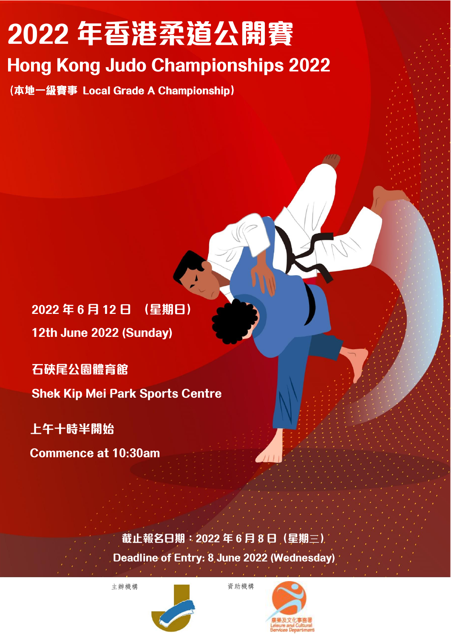# **2022 年香港柔道公開賽**

## **Hong Kong Judo Championships 2022**

(本地一級賽事 Local Grade A Championship)

**2022 年 6 月 12 日 (星期日) 12th June 2022 (Sunday)**

**石硤尾公園體育館**

**Shek Kip Mei Park Sports Centre**

### **上午十時半開始**

**Commence at 10:30am**

**截止報名日期:2022 年 6 月 8 日(星期**三**)**

**Deadline of Entry: 8 June 2022 (Wednesday)**



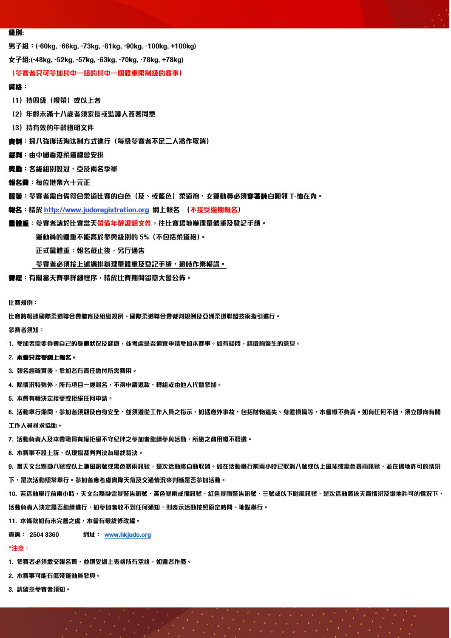#### **級別:**

**男子組:(-60kg, -66kg, -73kg, -81kg, -90kg, -100kg, +100kg)**

**女子組:(-48kg, -52kg, -57kg, -63kg, -70kg, -78kg, +78kg)**

#### **(參賽者只可參加其中一組的其中一個體重限制級的賽事)**

#### **資格:**

- **(1)持四級(橙帶)或以上者**
- **(2)年齡未滿十八歲者須家長或監護人簽署同意**
- **(3)持有效的年齡證明文件**
- **賽制:採八強復活淘汰制方式進行(每級參賽者不足二人將作取消)**
- **裁判:由中國香港柔道總會安排**
- **獎勵:各級組別設冠、亞及兩名季軍**
- **報名費:每位港幣六十元正**
- **服裝:參賽者需自備符合柔道比賽的白色(及、或藍色)柔道袍,女運動員必須穿著純白圓領 T-恤在內。**
- **報名:請於 [http://www.judoregistration.org](http://www.judoregistration.org/) 網上報名 (不接受逾期報名)**
- **量體重:參賽者請於比賽當天帶備年齡證明文件,往比賽場地辦理量體重及登記手續。**

**運動員的體重不能高於參與級別的 5%(不包括柔道袍)。**

 **正式量體重:報名截止後,另行通告**

 **參賽者必須按上述編排辦理量體重及登記手續,逾時作棄權論。**

**賽程:有關當天賽事詳細程序,請於比賽期間留意大會公佈。**

**比賽規例:**

**比賽將根據國際柔道聯合會體育及組織規例、國際柔道聯合會裁判規例及亞洲柔道聯盟技術指引進行。**

**參賽者須知:**

**1. 參加者需要負責自己的身體狀況及健康,並考慮是否適宜申請參加本賽事。如有疑問,請徵詢醫生的意見。**

#### **2. 本會只接受網上報名。**

**3. 報名經確實後,參加者有責任繳付所需費用。**

**4. 除情況特殊外,所有項目一經報名,不得申請退款、轉組或由他人代替參加。**

**5. 本會有權決定接受或拒絕任何申請。**

6. 活動舉行期間,參加者須顧及自身安全,並須遵從工作人員之指示,如遇意外事故,包括財物遺失、身體損傷等,本會概不負責。如有任何不適,須立即向有關

**工作人員尋求協助。**

**7. 活動負責人及本會職員有權拒絕不守紀律之參加者繼續參與活動,所繳之費用概不發還。**

**8. 本賽事不設上訴,以現場裁判判決為最終裁決。**

9. 當天文台懸掛八號或以上颱風訊號或黑色暴雨訊號,是次活動將自動取消。如在活動舉行前兩小時已取消八號或以上風球或黑色暴雨訊號,並在場地許可的情況

**下,是次活動照常舉行。參加者應考慮實際天氣及交通情況來判斷是否參加活動。**

**10. 若活動舉行前兩小時,天文台懸掛雷暴警告訊號、黃色暴雨戒備訊號、紅色暴雨警告訊號、三號或以下颱風訊號,是次活動將依天氣情況及場地許可的情況下, 活動負責人決定是否繼續進行,如參加者收不到任何通知,則表示活動按照原定時間、地點舉行。**

**11. 本條款如有未完善之處,本會有最終修改權。**

**查詢: 2504 8360 網址: [www.hkjudo.org](http://www.hkjudo.org/)**

#### **\*注意:**

**1. 參賽者必須繳交報名費,並填妥網上表格所有空格,如違者作廢。**

**2. 本賽事可能有傷殘運動員參與。**

**3. 請留意參賽者須知。**